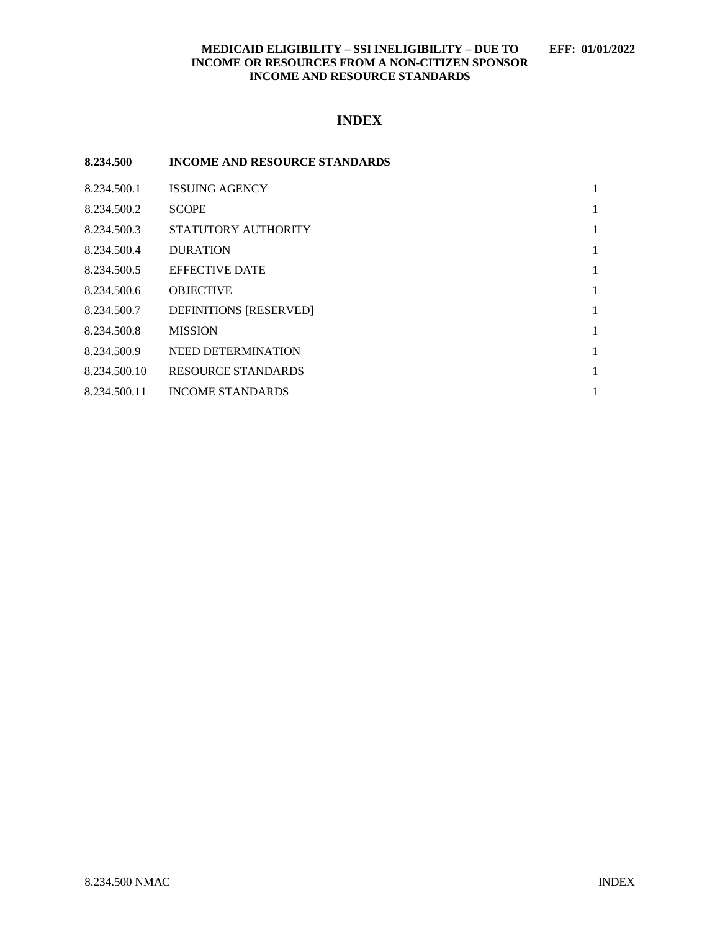## **MEDICAID ELIGIBILITY – SSI INELIGIBILITY – DUE TO EFF: 01/01/2022 INCOME OR RESOURCES FROM A NON-CITIZEN SPONSOR INCOME AND RESOURCE STANDARDS**

# **INDEX**

| 8.234.500    | <b>INCOME AND RESOURCE STANDARDS</b> |   |
|--------------|--------------------------------------|---|
| 8.234.500.1  | <b>ISSUING AGENCY</b>                | 1 |
| 8.234.500.2  | <b>SCOPE</b>                         | 1 |
| 8.234.500.3  | STATUTORY AUTHORITY                  | 1 |
| 8.234.500.4  | <b>DURATION</b>                      | 1 |
| 8.234.500.5  | <b>EFFECTIVE DATE</b>                | 1 |
| 8.234.500.6  | <b>OBJECTIVE</b>                     | 1 |
| 8.234.500.7  | <b>DEFINITIONS [RESERVED]</b>        | 1 |
| 8.234.500.8  | <b>MISSION</b>                       | 1 |
| 8.234.500.9  | NEED DETERMINATION                   | 1 |
| 8.234.500.10 | <b>RESOURCE STANDARDS</b>            | 1 |
| 8.234.500.11 | <b>INCOME STANDARDS</b>              | 1 |